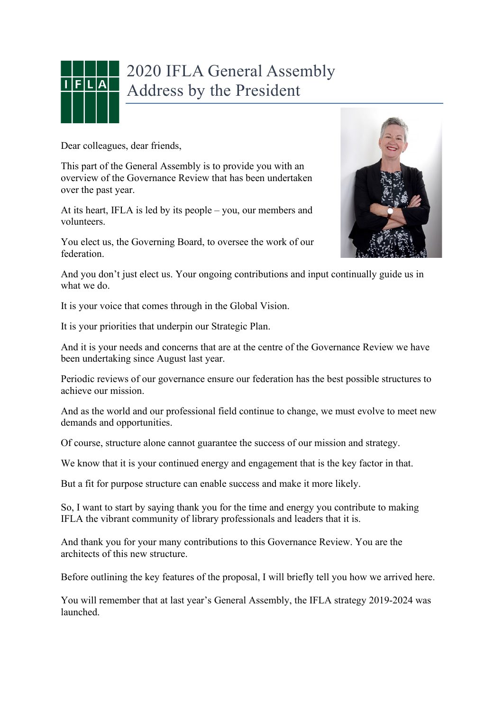

## 2020 IFLA General Assembly Address by the President

Dear colleagues, dear friends,

This part of the General Assembly is to provide you with an overview of the Governance Review that has been undertaken over the past year.

At its heart, IFLA is led by its people – you, our members and volunteers.

You elect us, the Governing Board, to oversee the work of our federation.



And you don't just elect us. Your ongoing contributions and input continually guide us in what we do.

It is your voice that comes through in the Global Vision.

It is your priorities that underpin our Strategic Plan.

And it is your needs and concerns that are at the centre of the Governance Review we have been undertaking since August last year.

Periodic reviews of our governance ensure our federation has the best possible structures to achieve our mission.

And as the world and our professional field continue to change, we must evolve to meet new demands and opportunities.

Of course, structure alone cannot guarantee the success of our mission and strategy.

We know that it is your continued energy and engagement that is the key factor in that.

But a fit for purpose structure can enable success and make it more likely.

So, I want to start by saying thank you for the time and energy you contribute to making IFLA the vibrant community of library professionals and leaders that it is.

And thank you for your many contributions to this Governance Review. You are the architects of this new structure.

Before outlining the key features of the proposal, I will briefly tell you how we arrived here.

You will remember that at last year's General Assembly, the IFLA strategy 2019-2024 was launched.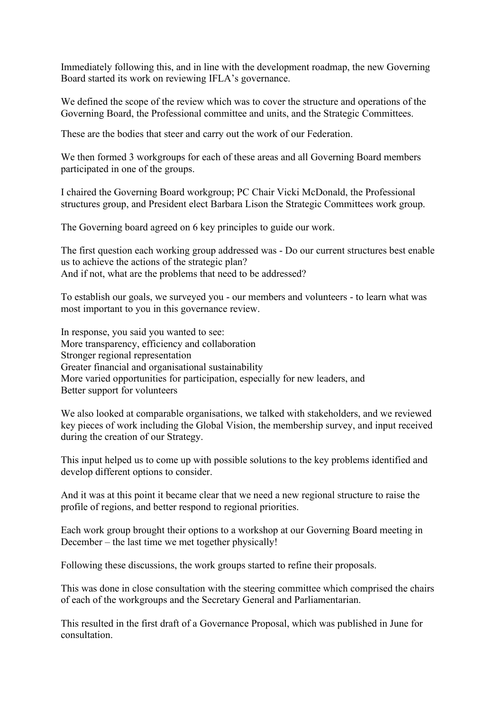Immediately following this, and in line with the development roadmap, the new Governing Board started its work on reviewing IFLA's governance.

We defined the scope of the review which was to cover the structure and operations of the Governing Board, the Professional committee and units, and the Strategic Committees.

These are the bodies that steer and carry out the work of our Federation.

We then formed 3 workgroups for each of these areas and all Governing Board members participated in one of the groups.

I chaired the Governing Board workgroup; PC Chair Vicki McDonald, the Professional structures group, and President elect Barbara Lison the Strategic Committees work group.

The Governing board agreed on 6 key principles to guide our work.

The first question each working group addressed was - Do our current structures best enable us to achieve the actions of the strategic plan? And if not, what are the problems that need to be addressed?

To establish our goals, we surveyed you - our members and volunteers - to learn what was most important to you in this governance review.

In response, you said you wanted to see: More transparency, efficiency and collaboration Stronger regional representation Greater financial and organisational sustainability More varied opportunities for participation, especially for new leaders, and Better support for volunteers

We also looked at comparable organisations, we talked with stakeholders, and we reviewed key pieces of work including the Global Vision, the membership survey, and input received during the creation of our Strategy.

This input helped us to come up with possible solutions to the key problems identified and develop different options to consider.

And it was at this point it became clear that we need a new regional structure to raise the profile of regions, and better respond to regional priorities.

Each work group brought their options to a workshop at our Governing Board meeting in December – the last time we met together physically!

Following these discussions, the work groups started to refine their proposals.

This was done in close consultation with the steering committee which comprised the chairs of each of the workgroups and the Secretary General and Parliamentarian.

This resulted in the first draft of a Governance Proposal, which was published in June for consultation.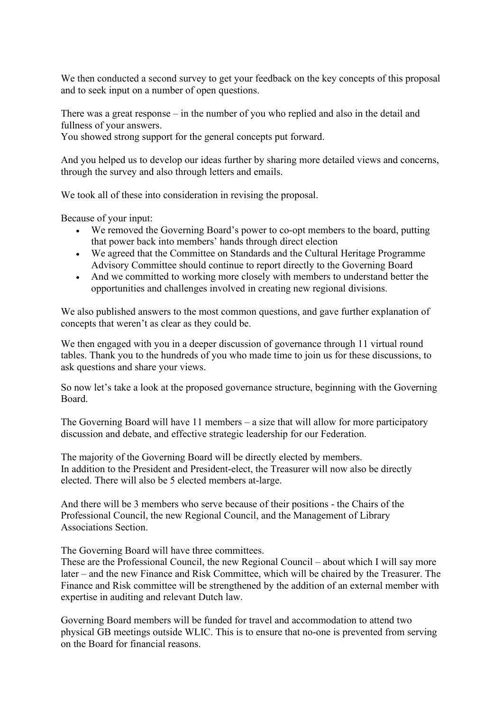We then conducted a second survey to get your feedback on the key concepts of this proposal and to seek input on a number of open questions.

There was a great response – in the number of you who replied and also in the detail and fullness of your answers.

You showed strong support for the general concepts put forward.

And you helped us to develop our ideas further by sharing more detailed views and concerns, through the survey and also through letters and emails.

We took all of these into consideration in revising the proposal.

Because of your input:

- We removed the Governing Board's power to co-opt members to the board, putting that power back into members' hands through direct election
- We agreed that the Committee on Standards and the Cultural Heritage Programme Advisory Committee should continue to report directly to the Governing Board
- And we committed to working more closely with members to understand better the opportunities and challenges involved in creating new regional divisions.

We also published answers to the most common questions, and gave further explanation of concepts that weren't as clear as they could be.

We then engaged with you in a deeper discussion of governance through 11 virtual round tables. Thank you to the hundreds of you who made time to join us for these discussions, to ask questions and share your views.

So now let's take a look at the proposed governance structure, beginning with the Governing Board.

The Governing Board will have 11 members – a size that will allow for more participatory discussion and debate, and effective strategic leadership for our Federation.

The majority of the Governing Board will be directly elected by members. In addition to the President and President-elect, the Treasurer will now also be directly elected. There will also be 5 elected members at-large.

And there will be 3 members who serve because of their positions - the Chairs of the Professional Council, the new Regional Council, and the Management of Library Associations Section.

The Governing Board will have three committees.

These are the Professional Council, the new Regional Council – about which I will say more later – and the new Finance and Risk Committee, which will be chaired by the Treasurer. The Finance and Risk committee will be strengthened by the addition of an external member with expertise in auditing and relevant Dutch law.

Governing Board members will be funded for travel and accommodation to attend two physical GB meetings outside WLIC. This is to ensure that no-one is prevented from serving on the Board for financial reasons.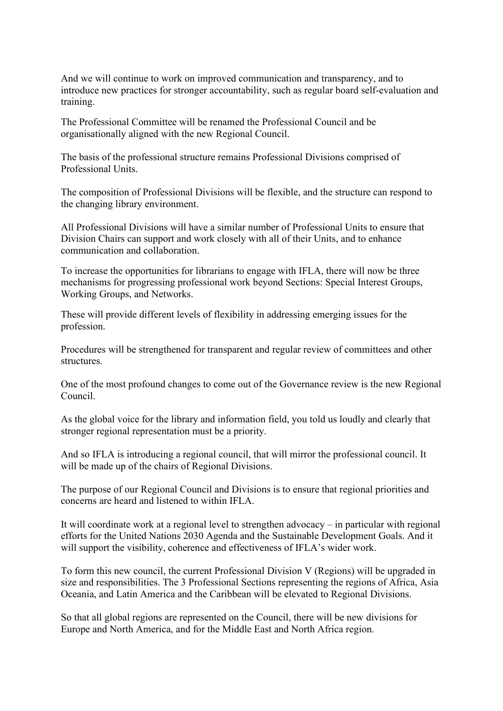And we will continue to work on improved communication and transparency, and to introduce new practices for stronger accountability, such as regular board self-evaluation and training.

The Professional Committee will be renamed the Professional Council and be organisationally aligned with the new Regional Council.

The basis of the professional structure remains Professional Divisions comprised of Professional Units.

The composition of Professional Divisions will be flexible, and the structure can respond to the changing library environment.

All Professional Divisions will have a similar number of Professional Units to ensure that Division Chairs can support and work closely with all of their Units, and to enhance communication and collaboration.

To increase the opportunities for librarians to engage with IFLA, there will now be three mechanisms for progressing professional work beyond Sections: Special Interest Groups, Working Groups, and Networks.

These will provide different levels of flexibility in addressing emerging issues for the profession.

Procedures will be strengthened for transparent and regular review of committees and other structures.

One of the most profound changes to come out of the Governance review is the new Regional Council.

As the global voice for the library and information field, you told us loudly and clearly that stronger regional representation must be a priority.

And so IFLA is introducing a regional council, that will mirror the professional council. It will be made up of the chairs of Regional Divisions.

The purpose of our Regional Council and Divisions is to ensure that regional priorities and concerns are heard and listened to within IFLA.

It will coordinate work at a regional level to strengthen advocacy – in particular with regional efforts for the United Nations 2030 Agenda and the Sustainable Development Goals. And it will support the visibility, coherence and effectiveness of IFLA's wider work.

To form this new council, the current Professional Division V (Regions) will be upgraded in size and responsibilities. The 3 Professional Sections representing the regions of Africa, Asia Oceania, and Latin America and the Caribbean will be elevated to Regional Divisions.

So that all global regions are represented on the Council, there will be new divisions for Europe and North America, and for the Middle East and North Africa region.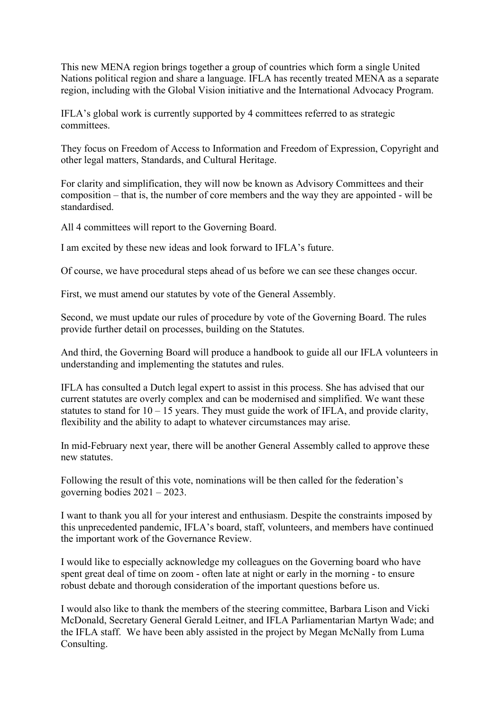This new MENA region brings together a group of countries which form a single United Nations political region and share a language. IFLA has recently treated MENA as a separate region, including with the Global Vision initiative and the International Advocacy Program.

IFLA's global work is currently supported by 4 committees referred to as strategic committees.

They focus on Freedom of Access to Information and Freedom of Expression, Copyright and other legal matters, Standards, and Cultural Heritage.

For clarity and simplification, they will now be known as Advisory Committees and their composition – that is, the number of core members and the way they are appointed - will be standardised.

All 4 committees will report to the Governing Board.

I am excited by these new ideas and look forward to IFLA's future.

Of course, we have procedural steps ahead of us before we can see these changes occur.

First, we must amend our statutes by vote of the General Assembly.

Second, we must update our rules of procedure by vote of the Governing Board. The rules provide further detail on processes, building on the Statutes.

And third, the Governing Board will produce a handbook to guide all our IFLA volunteers in understanding and implementing the statutes and rules.

IFLA has consulted a Dutch legal expert to assist in this process. She has advised that our current statutes are overly complex and can be modernised and simplified. We want these statutes to stand for  $10 - 15$  years. They must guide the work of IFLA, and provide clarity, flexibility and the ability to adapt to whatever circumstances may arise.

In mid-February next year, there will be another General Assembly called to approve these new statutes.

Following the result of this vote, nominations will be then called for the federation's governing bodies 2021 – 2023.

I want to thank you all for your interest and enthusiasm. Despite the constraints imposed by this unprecedented pandemic, IFLA's board, staff, volunteers, and members have continued the important work of the Governance Review.

I would like to especially acknowledge my colleagues on the Governing board who have spent great deal of time on zoom - often late at night or early in the morning - to ensure robust debate and thorough consideration of the important questions before us.

I would also like to thank the members of the steering committee, Barbara Lison and Vicki McDonald, Secretary General Gerald Leitner, and IFLA Parliamentarian Martyn Wade; and the IFLA staff. We have been ably assisted in the project by Megan McNally from Luma Consulting.